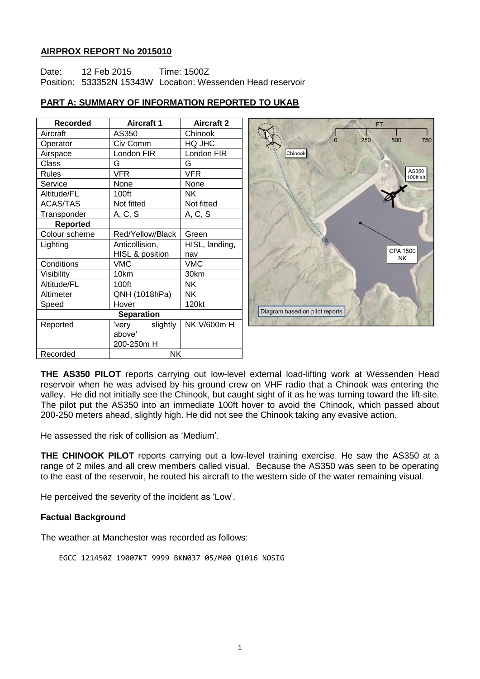## **AIRPROX REPORT No 2015010**

Date: 12 Feb 2015 Time: 1500Z Position: 533352N 15343W Location: Wessenden Head reservoir

| <b>Recorded</b>   | <b>Aircraft 1</b>          | <b>Aircraft 2</b> |
|-------------------|----------------------------|-------------------|
| Aircraft          | AS350                      | Chinook           |
| Operator          | Civ Comm                   | HQ JHC            |
| Airspace          | London FIR                 | London FIR        |
| Class             | G                          | G                 |
| Rules             | VFR                        | VFR               |
| Service           | None                       | None              |
| Altitude/FL       | 100ft                      | NΚ                |
| <b>ACAS/TAS</b>   | Not fitted                 | Not fitted        |
| Transponder       | A, C, S                    | A, C, S           |
| <b>Reported</b>   |                            |                   |
| Colour scheme     | Red/Yellow/Black           | Green             |
| Lighting          | Anticollision,             | HISL, landing,    |
|                   | <b>HISL &amp; position</b> | nav               |
| Conditions        | VMC                        | VMC               |
| Visibility        | 10km                       | 30km              |
| Altitude/FL       | 100ft                      | NΚ                |
| Altimeter         | QNH (1018hPa)              | NΚ                |
| Speed             | Hover                      | 120kt             |
| <b>Separation</b> |                            |                   |
| Reported          | slightly<br>'very          | NK V/600m H       |
|                   | above'                     |                   |
|                   | 200-250m H                 |                   |
| Recorded          | <b>NK</b>                  |                   |

## **PART A: SUMMARY OF INFORMATION REPORTED TO UKAB**



**THE AS350 PILOT** reports carrying out low-level external load-lifting work at Wessenden Head reservoir when he was advised by his ground crew on VHF radio that a Chinook was entering the valley. He did not initially see the Chinook, but caught sight of it as he was turning toward the lift-site. The pilot put the AS350 into an immediate 100ft hover to avoid the Chinook, which passed about 200-250 meters ahead, slightly high. He did not see the Chinook taking any evasive action.

He assessed the risk of collision as 'Medium'.

**THE CHINOOK PILOT** reports carrying out a low-level training exercise. He saw the AS350 at a range of 2 miles and all crew members called visual. Because the AS350 was seen to be operating to the east of the reservoir, he routed his aircraft to the western side of the water remaining visual.

He perceived the severity of the incident as 'Low'.

## **Factual Background**

The weather at Manchester was recorded as follows:

EGCC 121450Z 19007KT 9999 BKN037 05/M00 Q1016 NOSIG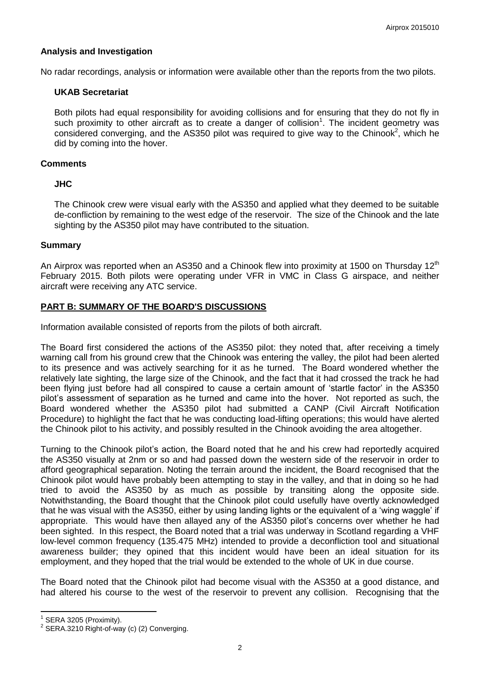### **Analysis and Investigation**

No radar recordings, analysis or information were available other than the reports from the two pilots.

#### **UKAB Secretariat**

Both pilots had equal responsibility for avoiding collisions and for ensuring that they do not fly in such proximity to other aircraft as to create a danger of collision<sup>1</sup>. The incident geometry was considered converging, and the AS350 pilot was required to give way to the Chinook<sup>2</sup>, which he did by coming into the hover.

### **Comments**

### **JHC**

The Chinook crew were visual early with the AS350 and applied what they deemed to be suitable de-confliction by remaining to the west edge of the reservoir. The size of the Chinook and the late sighting by the AS350 pilot may have contributed to the situation.

### **Summary**

An Airprox was reported when an AS350 and a Chinook flew into proximity at 1500 on Thursday 12<sup>th</sup> February 2015. Both pilots were operating under VFR in VMC in Class G airspace, and neither aircraft were receiving any ATC service.

## **PART B: SUMMARY OF THE BOARD'S DISCUSSIONS**

Information available consisted of reports from the pilots of both aircraft.

The Board first considered the actions of the AS350 pilot: they noted that, after receiving a timely warning call from his ground crew that the Chinook was entering the valley, the pilot had been alerted to its presence and was actively searching for it as he turned. The Board wondered whether the relatively late sighting, the large size of the Chinook, and the fact that it had crossed the track he had been flying just before had all conspired to cause a certain amount of 'startle factor' in the AS350 pilot's assessment of separation as he turned and came into the hover. Not reported as such, the Board wondered whether the AS350 pilot had submitted a CANP (Civil Aircraft Notification Procedure) to highlight the fact that he was conducting load-lifting operations; this would have alerted the Chinook pilot to his activity, and possibly resulted in the Chinook avoiding the area altogether.

Turning to the Chinook pilot's action, the Board noted that he and his crew had reportedly acquired the AS350 visually at 2nm or so and had passed down the western side of the reservoir in order to afford geographical separation. Noting the terrain around the incident, the Board recognised that the Chinook pilot would have probably been attempting to stay in the valley, and that in doing so he had tried to avoid the AS350 by as much as possible by transiting along the opposite side. Notwithstanding, the Board thought that the Chinook pilot could usefully have overtly acknowledged that he was visual with the AS350, either by using landing lights or the equivalent of a 'wing waggle' if appropriate. This would have then allayed any of the AS350 pilot's concerns over whether he had been sighted. In this respect, the Board noted that a trial was underway in Scotland regarding a VHF low-level common frequency (135.475 MHz) intended to provide a deconfliction tool and situational awareness builder; they opined that this incident would have been an ideal situation for its employment, and they hoped that the trial would be extended to the whole of UK in due course.

The Board noted that the Chinook pilot had become visual with the AS350 at a good distance, and had altered his course to the west of the reservoir to prevent any collision. Recognising that the

 $\overline{\phantom{a}}$ 

<sup>1</sup> SERA 3205 (Proximity).

 $2$  SERA.3210 Right-of-way (c) (2) Converging.